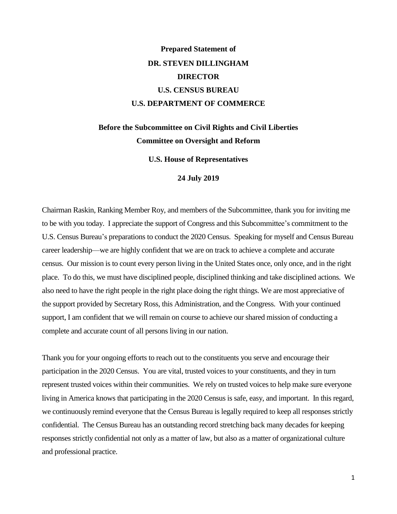# **Prepared Statement of DR. STEVEN DILLINGHAM DIRECTOR U.S. CENSUS BUREAU U.S. DEPARTMENT OF COMMERCE**

# **Before the Subcommittee on Civil Rights and Civil Liberties Committee on Oversight and Reform**

**U.S. House of Representatives**

#### **24 July 2019**

Chairman Raskin, Ranking Member Roy, and members of the Subcommittee, thank you for inviting me to be with you today. I appreciate the support of Congress and this Subcommittee's commitment to the U.S. Census Bureau's preparations to conduct the 2020 Census. Speaking for myself and Census Bureau career leadership—we are highly confident that we are on track to achieve a complete and accurate census. Our mission is to count every person living in the United States once, only once, and in the right place. To do this, we must have disciplined people, disciplined thinking and take disciplined actions. We also need to have the right people in the right place doing the right things. We are most appreciative of the support provided by Secretary Ross, this Administration, and the Congress. With your continued support, I am confident that we will remain on course to achieve our shared mission of conducting a complete and accurate count of all persons living in our nation.

Thank you for your ongoing efforts to reach out to the constituents you serve and encourage their participation in the 2020 Census. You are vital, trusted voices to your constituents, and they in turn represent trusted voices within their communities. We rely on trusted voices to help make sure everyone living in America knows that participating in the 2020 Census is safe, easy, and important. In this regard, we continuously remind everyone that the Census Bureau is legally required to keep all responses strictly confidential. The Census Bureau has an outstanding record stretching back many decades for keeping responses strictly confidential not only as a matter of law, but also as a matter of organizational culture and professional practice.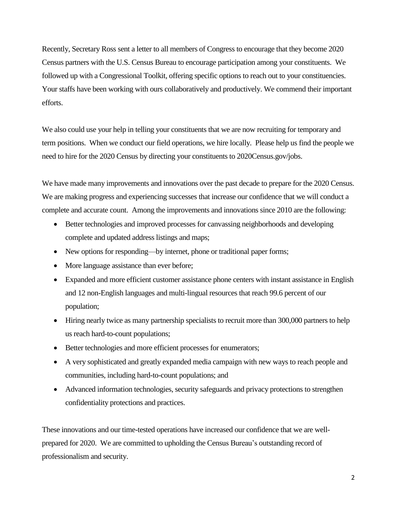Recently, Secretary Ross sent a letter to all members of Congress to encourage that they become 2020 Census partners with the U.S. Census Bureau to encourage participation among your constituents. We followed up with a Congressional Toolkit, offering specific options to reach out to your constituencies. Your staffs have been working with ours collaboratively and productively. We commend their important efforts.

We also could use your help in telling your constituents that we are now recruiting for temporary and term positions. When we conduct our field operations, we hire locally. Please help us find the people we need to hire for the 2020 Census by directing your constituents to 2020Census.gov/jobs.

We have made many improvements and innovations over the past decade to prepare for the 2020 Census. We are making progress and experiencing successes that increase our confidence that we will conduct a complete and accurate count. Among the improvements and innovations since 2010 are the following:

- Better technologies and improved processes for canvassing neighborhoods and developing complete and updated address listings and maps;
- New options for responding—by internet, phone or traditional paper forms;
- More language assistance than ever before;
- Expanded and more efficient customer assistance phone centers with instant assistance in English and 12 non-English languages and multi-lingual resources that reach 99.6 percent of our population;
- Hiring nearly twice as many partnership specialists to recruit more than 300,000 partners to help us reach hard-to-count populations;
- Better technologies and more efficient processes for enumerators;
- A very sophisticated and greatly expanded media campaign with new ways to reach people and communities, including hard-to-count populations; and
- Advanced information technologies, security safeguards and privacy protections to strengthen confidentiality protections and practices.

These innovations and our time-tested operations have increased our confidence that we are wellprepared for 2020. We are committed to upholding the Census Bureau's outstanding record of professionalism and security.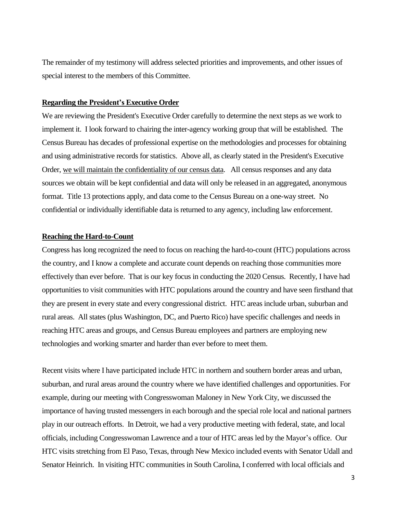The remainder of my testimony will address selected priorities and improvements, and other issues of special interest to the members of this Committee.

#### **Regarding the President's Executive Order**

We are reviewing the President's Executive Order carefully to determine the next steps as we work to implement it. I look forward to chairing the inter-agency working group that will be established. The Census Bureau has decades of professional expertise on the methodologies and processes for obtaining and using administrative records for statistics. Above all, as clearly stated in the President's Executive Order, we will maintain the confidentiality of our census data. All census responses and any data sources we obtain will be kept confidential and data will only be released in an aggregated, anonymous format. Title 13 protections apply, and data come to the Census Bureau on a one-way street. No confidential or individually identifiable data is returned to any agency, including law enforcement.

# **Reaching the Hard-to-Count**

Congress has long recognized the need to focus on reaching the hard-to-count (HTC) populations across the country, and I know a complete and accurate count depends on reaching those communities more effectively than ever before. That is our key focus in conducting the 2020 Census. Recently, I have had opportunities to visit communities with HTC populations around the country and have seen firsthand that they are present in every state and every congressional district. HTC areas include urban, suburban and rural areas. All states (plus Washington, DC, and Puerto Rico) have specific challenges and needs in reaching HTC areas and groups, and Census Bureau employees and partners are employing new technologies and working smarter and harder than ever before to meet them.

Recent visits where I have participated include HTC in northern and southern border areas and urban, suburban, and rural areas around the country where we have identified challenges and opportunities. For example, during our meeting with Congresswoman Maloney in New York City, we discussed the importance of having trusted messengers in each borough and the special role local and national partners play in our outreach efforts. In Detroit, we had a very productive meeting with federal, state, and local officials, including Congresswoman Lawrence and a tour of HTC areas led by the Mayor's office. Our HTC visits stretching from El Paso, Texas, through New Mexico included events with Senator Udall and Senator Heinrich. In visiting HTC communities in South Carolina, I conferred with local officials and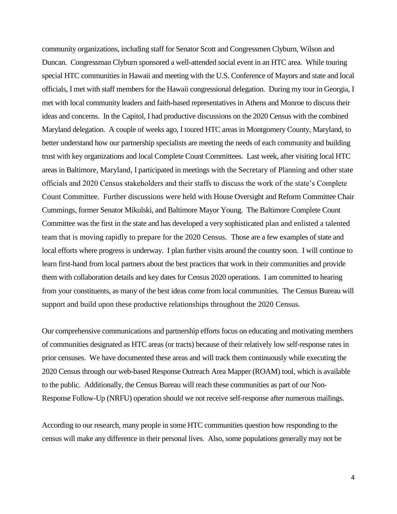community organizations, including staff for Senator Scott and Congressmen Clyburn, Wilson and Duncan. Congressman Clyburn sponsored a well-attended social event in an HTC area. While touring special HTC communities in Hawaii and meeting with the U.S. Conference of Mayors and state and local officials, I met with staff members for the Hawaii congressional delegation. During my tour in Georgia, I met with local community leaders and faith-based representatives in Athens and Monroe to discuss their ideas and concerns. In the Capitol, I had productive discussions on the 2020 Census with the combined Maryland delegation. A couple of weeks ago, I toured HTC areas in Montgomery County, Maryland, to better understand how our partnership specialists are meeting the needs of each community and building trust with key organizations and local Complete Count Committees. Last week, after visiting local HTC areas in Baltimore, Maryland, I participated in meetings with the Secretary of Planning and other state officials and 2020 Census stakeholders and their staffs to discuss the work of the state's Complete Count Committee. Further discussions were held with House Oversight and Reform Committee Chair Cummings, former Senator Mikulski, and Baltimore Mayor Young. The Baltimore Complete Count Committee was the first in the state and has developed a very sophisticated plan and enlisted a talented team that is moving rapidly to prepare for the 2020 Census. Those are a few examples of state and local efforts where progress is underway. I plan further visits around the country soon. I will continue to learn first-hand from local partners about the best practices that work in their communities and provide them with collaboration details and key dates for Census 2020 operations. I am committed to hearing from your constituents, as many of the best ideas come from local communities. The Census Bureau will support and build upon these productive relationships throughout the 2020 Census.

Our comprehensive communications and partnership efforts focus on educating and motivating members of communities designated as HTC areas (or tracts) because of their relatively low self-response rates in prior censuses. We have documented these areas and will track them continuously while executing the 2020 Census through our web-based Response Outreach Area Mapper (ROAM) tool, which is available to the public. Additionally, the Census Bureau will reach these communities as part of our Non-Response Follow-Up (NRFU) operation should we not receive self-response after numerous mailings.

According to our research, many people in some HTC communities question how responding to the census will make any difference in their personal lives. Also, some populations generally may not be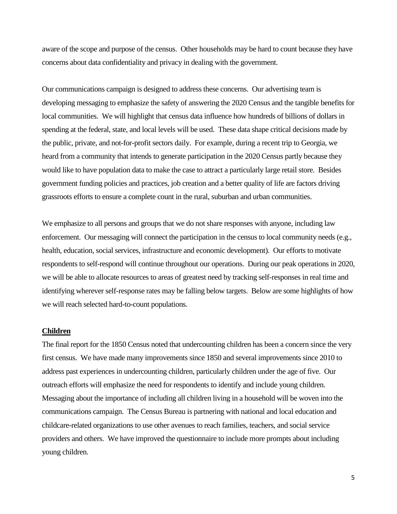aware of the scope and purpose of the census. Other households may be hard to count because they have concerns about data confidentiality and privacy in dealing with the government.

Our communications campaign is designed to address these concerns. Our advertising team is developing messaging to emphasize the safety of answering the 2020 Census and the tangible benefits for local communities. We will highlight that census data influence how hundreds of billions of dollars in spending at the federal, state, and local levels will be used. These data shape critical decisions made by the public, private, and not-for-profit sectors daily. For example, during a recent trip to Georgia, we heard from a community that intends to generate participation in the 2020 Census partly because they would like to have population data to make the case to attract a particularly large retail store. Besides government funding policies and practices, job creation and a better quality of life are factors driving grassroots efforts to ensure a complete count in the rural, suburban and urban communities.

We emphasize to all persons and groups that we do not share responses with anyone, including law enforcement. Our messaging will connect the participation in the census to local community needs (e.g., health, education, social services, infrastructure and economic development). Our efforts to motivate respondents to self-respond will continue throughout our operations. During our peak operations in 2020, we will be able to allocate resources to areas of greatest need by tracking self-responses in real time and identifying wherever self-response rates may be falling below targets. Below are some highlights of how we will reach selected hard-to-count populations.

# **Children**

The final report for the 1850 Census noted that undercounting children has been a concern since the very first census. We have made many improvements since 1850 and several improvements since 2010 to address past experiences in undercounting children, particularly children under the age of five. Our outreach efforts will emphasize the need for respondents to identify and include young children. Messaging about the importance of including all children living in a household will be woven into the communications campaign. The Census Bureau is partnering with national and local education and childcare-related organizations to use other avenues to reach families, teachers, and social service providers and others. We have improved the questionnaire to include more prompts about including young children.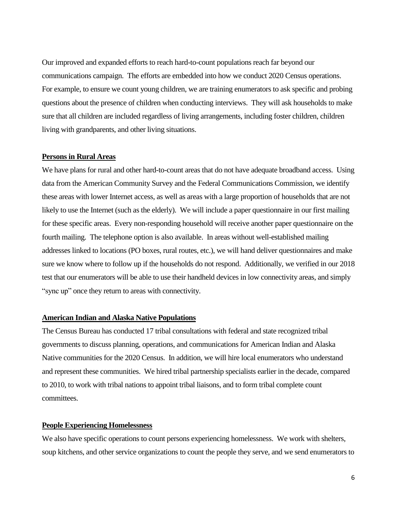Our improved and expanded efforts to reach hard-to-count populations reach far beyond our communications campaign. The efforts are embedded into how we conduct 2020 Census operations. For example, to ensure we count young children, we are training enumerators to ask specific and probing questions about the presence of children when conducting interviews. They will ask households to make sure that all children are included regardless of living arrangements, including foster children, children living with grandparents, and other living situations.

# **Persons in Rural Areas**

We have plans for rural and other hard-to-count areas that do not have adequate broadband access. Using data from the American Community Survey and the Federal Communications Commission, we identify these areas with lower Internet access, as well as areas with a large proportion of households that are not likely to use the Internet (such as the elderly). We will include a paper questionnaire in our first mailing for these specific areas. Every non-responding household will receive another paper questionnaire on the fourth mailing. The telephone option is also available. In areas without well-established mailing addresses linked to locations (PO boxes, rural routes, etc.), we will hand deliver questionnaires and make sure we know where to follow up if the households do not respond. Additionally, we verified in our 2018 test that our enumerators will be able to use their handheld devices in low connectivity areas, and simply "sync up" once they return to areas with connectivity.

# **American Indian and Alaska Native Populations**

The Census Bureau has conducted 17 tribal consultations with federal and state recognized tribal governments to discuss planning, operations, and communications for American Indian and Alaska Native communities for the 2020 Census. In addition, we will hire local enumerators who understand and represent these communities. We hired tribal partnership specialists earlier in the decade, compared to 2010, to work with tribal nations to appoint tribal liaisons, and to form tribal complete count committees.

### **People Experiencing Homelessness**

We also have specific operations to count persons experiencing homelessness. We work with shelters, soup kitchens, and other service organizations to count the people they serve, and we send enumerators to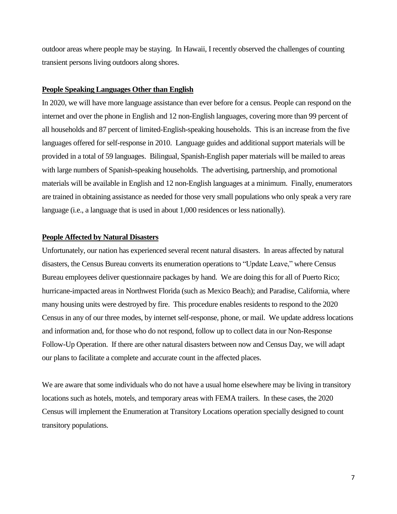outdoor areas where people may be staying. In Hawaii, I recently observed the challenges of counting transient persons living outdoors along shores.

#### **People Speaking Languages Other than English**

In 2020, we will have more language assistance than ever before for a census. People can respond on the internet and over the phone in English and 12 non-English languages, covering more than 99 percent of all households and 87 percent of limited-English-speaking households. This is an increase from the five languages offered for self-response in 2010. Language guides and additional support materials will be provided in a total of 59 languages. Bilingual, Spanish-English paper materials will be mailed to areas with large numbers of Spanish-speaking households. The advertising, partnership, and promotional materials will be available in English and 12 non-English languages at a minimum. Finally, enumerators are trained in obtaining assistance as needed for those very small populations who only speak a very rare language (i.e., a language that is used in about 1,000 residences or less nationally).

### **People Affected by Natural Disasters**

Unfortunately, our nation has experienced several recent natural disasters. In areas affected by natural disasters, the Census Bureau converts its enumeration operations to "Update Leave," where Census Bureau employees deliver questionnaire packages by hand. We are doing this for all of Puerto Rico; hurricane-impacted areas in Northwest Florida (such as Mexico Beach); and Paradise, California, where many housing units were destroyed by fire. This procedure enables residents to respond to the 2020 Census in any of our three modes, by internet self-response, phone, or mail. We update address locations and information and, for those who do not respond, follow up to collect data in our Non-Response Follow-Up Operation. If there are other natural disasters between now and Census Day, we will adapt our plans to facilitate a complete and accurate count in the affected places.

We are aware that some individuals who do not have a usual home elsewhere may be living in transitory locations such as hotels, motels, and temporary areas with FEMA trailers. In these cases, the 2020 Census will implement the Enumeration at Transitory Locations operation specially designed to count transitory populations.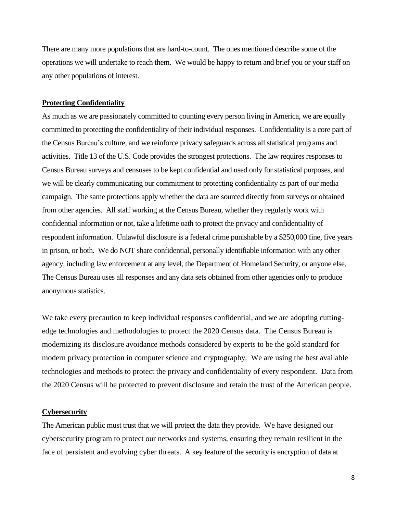There are many more populations that are hard-to-count. The ones mentioned describe some of the operations we will undertake to reach them. We would be happy to return and brief you or your staff on any other populations of interest.

#### **Protecting Confidentiality**

As much as we are passionately committed to counting every person living in America, we are equally committed to protecting the confidentiality of their individual responses. Confidentiality is a core part of the Census Bureau's culture, and we reinforce privacy safeguards across all statistical programs and activities. Title 13 of the U.S. Code provides the strongest protections. The law requires responses to Census Bureau surveys and censuses to be kept confidential and used only for statistical purposes, and we will be clearly communicating our commitment to protecting confidentiality as part of our media campaign. The same protections apply whether the data are sourced directly from surveys or obtained from other agencies.All staff working at the Census Bureau, whether they regularly work with confidential information or not, take a lifetime oath to protect the privacy and confidentiality of respondent information. Unlawful disclosure is a federal crime punishable by a \$250,000 fine, five years in prison, or both. We do NOT share confidential, personally identifiable information with any other agency, including law enforcement at any level, the Department of Homeland Security, or anyone else. The Census Bureau uses all responses and any data sets obtained from other agencies only to produce anonymous statistics.

We take every precaution to keep individual responses confidential, and we are adopting cuttingedge technologies and methodologies to protect the 2020 Census data. The Census Bureau is modernizing its disclosure avoidance methods considered by experts to be the gold standard for modern privacy protection in computer science and cryptography. We are using the best available technologies and methods to protect the privacy and confidentiality of every respondent. Data from the 2020 Census will be protected to prevent disclosure and retain the trust of the American people.

# **Cybersecurity**

The American public must trust that we will protect the data they provide. We have designed our cybersecurity program to protect our networks and systems, ensuring they remain resilient in the face of persistent and evolving cyber threats. A key feature of the security is encryption of data at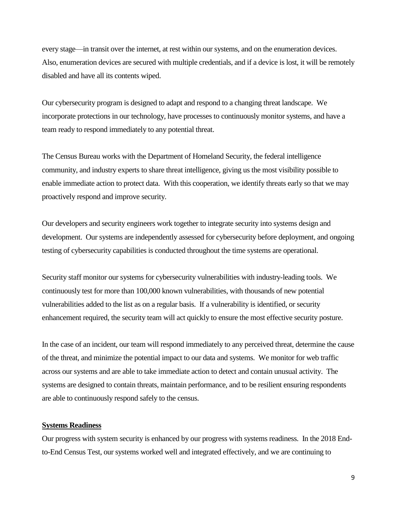every stage—in transit over the internet, at rest within our systems, and on the enumeration devices. Also, enumeration devices are secured with multiple credentials, and if a device is lost, it will be remotely disabled and have all its contents wiped.

Our cybersecurity program is designed to adapt and respond to a changing threat landscape. We incorporate protections in our technology, have processes to continuously monitor systems, and have a team ready to respond immediately to any potential threat.

The Census Bureau works with the Department of Homeland Security, the federal intelligence community, and industry experts to share threat intelligence, giving us the most visibility possible to enable immediate action to protect data. With this cooperation, we identify threats early so that we may proactively respond and improve security.

Our developers and security engineers work together to integrate security into systems design and development. Our systems are independently assessed for cybersecurity before deployment, and ongoing testing of cybersecurity capabilities is conducted throughout the time systems are operational.

Security staff monitor our systems for cybersecurity vulnerabilities with industry-leading tools. We continuously test for more than 100,000 known vulnerabilities, with thousands of new potential vulnerabilities added to the list as on a regular basis. If a vulnerability is identified, or security enhancement required, the security team will act quickly to ensure the most effective security posture.

In the case of an incident, our team will respond immediately to any perceived threat, determine the cause of the threat, and minimize the potential impact to our data and systems. We monitor for web traffic across our systems and are able to take immediate action to detect and contain unusual activity. The systems are designed to contain threats, maintain performance, and to be resilient ensuring respondents are able to continuously respond safely to the census.

# **Systems Readiness**

Our progress with system security is enhanced by our progress with systems readiness. In the 2018 Endto-End Census Test, our systems worked well and integrated effectively, and we are continuing to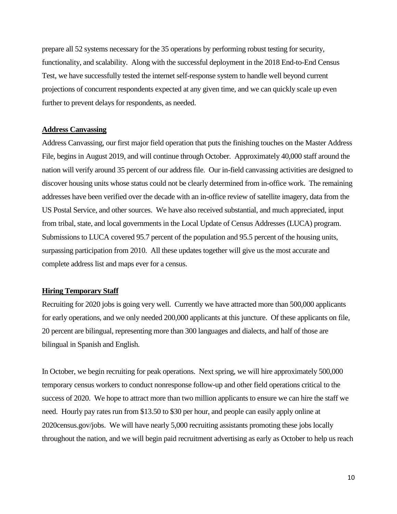prepare all 52 systems necessary for the 35 operations by performing robust testing for security, functionality, and scalability. Along with the successful deployment in the 2018 End-to-End Census Test, we have successfully tested the internet self-response system to handle well beyond current projections of concurrent respondents expected at any given time, and we can quickly scale up even further to prevent delays for respondents, as needed.

# **Address Canvassing**

Address Canvassing, our first major field operation that puts the finishing touches on the Master Address File, begins in August 2019, and will continue through October. Approximately 40,000 staff around the nation will verify around 35 percent of our address file. Our in-field canvassing activities are designed to discover housing units whose status could not be clearly determined from in-office work. The remaining addresses have been verified over the decade with an in-office review of satellite imagery, data from the US Postal Service, and other sources. We have also received substantial, and much appreciated, input from tribal, state, and local governments in the Local Update of Census Addresses (LUCA) program. Submissions to LUCA covered 95.7 percent of the population and 95.5 percent of the housing units, surpassing participation from 2010. All these updates together will give us the most accurate and complete address list and maps ever for a census.

# **Hiring Temporary Staff**

Recruiting for 2020 jobs is going very well. Currently we have attracted more than 500,000 applicants for early operations, and we only needed 200,000 applicants at this juncture. Of these applicants on file, 20 percent are bilingual, representing more than 300 languages and dialects, and half of those are bilingual in Spanish and English.

In October, we begin recruiting for peak operations. Next spring, we will hire approximately 500,000 temporary census workers to conduct nonresponse follow-up and other field operations critical to the success of 2020. We hope to attract more than two million applicants to ensure we can hire the staff we need. Hourly pay rates run from \$13.50 to \$30 per hour, and people can easily apply online at 2020census.gov/jobs. We will have nearly 5,000 recruiting assistants promoting these jobs locally throughout the nation, and we will begin paid recruitment advertising as early as October to help us reach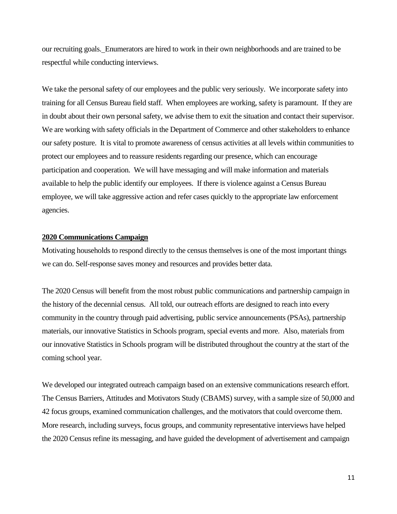our recruiting goals. Enumerators are hired to work in their own neighborhoods and are trained to be respectful while conducting interviews.

We take the personal safety of our employees and the public very seriously. We incorporate safety into training for all Census Bureau field staff. When employees are working, safety is paramount. If they are in doubt about their own personal safety, we advise them to exit the situation and contact their supervisor. We are working with safety officials in the Department of Commerce and other stakeholders to enhance our safety posture. It is vital to promote awareness of census activities at all levels within communities to protect our employees and to reassure residents regarding our presence, which can encourage participation and cooperation. We will have messaging and will make information and materials available to help the public identify our employees. If there is violence against a Census Bureau employee, we will take aggressive action and refer cases quickly to the appropriate law enforcement agencies.

### **2020 Communications Campaign**

Motivating households to respond directly to the census themselves is one of the most important things we can do. Self-response saves money and resources and provides better data.

The 2020 Census will benefit from the most robust public communications and partnership campaign in the history of the decennial census. All told, our outreach efforts are designed to reach into every community in the country through paid advertising, public service announcements (PSAs), partnership materials, our innovative Statistics in Schools program, special events and more. Also, materials from our innovative Statistics in Schools program will be distributed throughout the country at the start of the coming school year.

We developed our integrated outreach campaign based on an extensive communications research effort. The Census Barriers, Attitudes and Motivators Study (CBAMS) survey, with a sample size of 50,000 and 42 focus groups, examined communication challenges, and the motivators that could overcome them. More research, including surveys, focus groups, and community representative interviews have helped the 2020 Census refine its messaging, and have guided the development of advertisement and campaign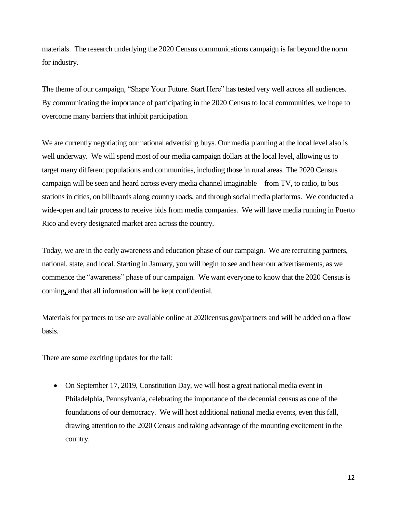materials. The research underlying the 2020 Census communications campaign is far beyond the norm for industry.

The theme of our campaign, "Shape Your Future. Start Here" has tested very well across all audiences. By communicating the importance of participating in the 2020 Census to local communities, we hope to overcome many barriers that inhibit participation.

We are currently negotiating our national advertising buys. Our media planning at the local level also is well underway. We will spend most of our media campaign dollars at the local level, allowing us to target many different populations and communities, including those in rural areas. The 2020 Census campaign will be seen and heard across every media channel imaginable—from TV, to radio, to bus stations in cities, on billboards along country roads, and through social media platforms. We conducted a wide-open and fair process to receive bids from media companies. We will have media running in Puerto Rico and every designated market area across the country.

Today, we are in the early awareness and education phase of our campaign. We are recruiting partners, national, state, and local. Starting in January, you will begin to see and hear our advertisements, as we commence the "awareness" phase of our campaign. We want everyone to know that the 2020 Census is coming**,** and that all information will be kept confidential.

Materials for partners to use are available online at 2020census.gov/partners and will be added on a flow basis.

There are some exciting updates for the fall:

• On September 17, 2019, Constitution Day, we will host a great national media event in Philadelphia, Pennsylvania, celebrating the importance of the decennial census as one of the foundations of our democracy. We will host additional national media events, even this fall, drawing attention to the 2020 Census and taking advantage of the mounting excitement in the country.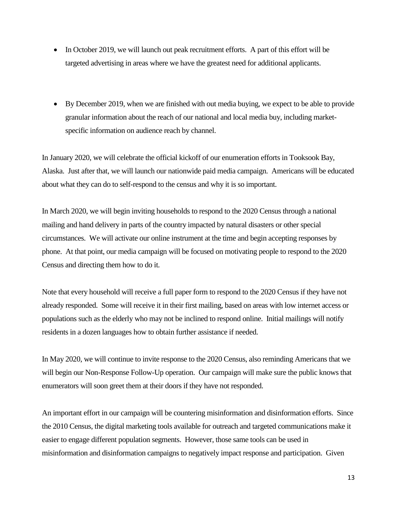- In October 2019, we will launch out peak recruitment efforts. A part of this effort will be targeted advertising in areas where we have the greatest need for additional applicants.
- By December 2019, when we are finished with out media buying, we expect to be able to provide granular information about the reach of our national and local media buy, including marketspecific information on audience reach by channel.

In January 2020, we will celebrate the official kickoff of our enumeration efforts in Tooksook Bay, Alaska. Just after that, we will launch our nationwide paid media campaign. Americans will be educated about what they can do to self-respond to the census and why it is so important.

In March 2020, we will begin inviting households to respond to the 2020 Census through a national mailing and hand delivery in parts of the country impacted by natural disasters or other special circumstances. We will activate our online instrument at the time and begin accepting responses by phone. At that point, our media campaign will be focused on motivating people to respond to the 2020 Census and directing them how to do it.

Note that every household will receive a full paper form to respond to the 2020 Census if they have not already responded. Some will receive it in their first mailing, based on areas with low internet access or populations such as the elderly who may not be inclined to respond online. Initial mailings will notify residents in a dozen languages how to obtain further assistance if needed.

In May 2020, we will continue to invite response to the 2020 Census, also reminding Americans that we will begin our Non-Response Follow-Up operation. Our campaign will make sure the public knows that enumerators will soon greet them at their doors if they have not responded.

An important effort in our campaign will be countering misinformation and disinformation efforts. Since the 2010 Census, the digital marketing tools available for outreach and targeted communications make it easier to engage different population segments. However, those same tools can be used in misinformation and disinformation campaigns to negatively impact response and participation. Given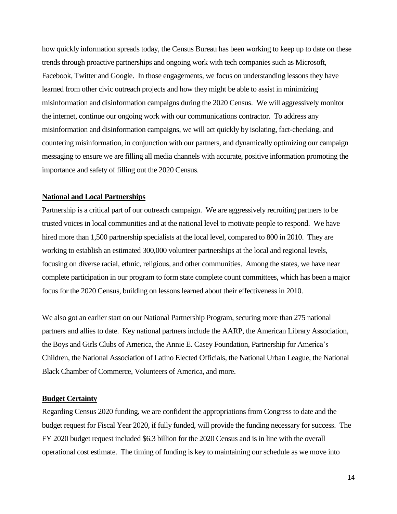how quickly information spreads today, the Census Bureau has been working to keep up to date on these trends through proactive partnerships and ongoing work with tech companies such as Microsoft, Facebook, Twitter and Google. In those engagements, we focus on understanding lessons they have learned from other civic outreach projects and how they might be able to assist in minimizing misinformation and disinformation campaigns during the 2020 Census. We will aggressively monitor the internet, continue our ongoing work with our communications contractor. To address any misinformation and disinformation campaigns, we will act quickly by isolating, fact-checking, and countering misinformation, in conjunction with our partners, and dynamically optimizing our campaign messaging to ensure we are filling all media channels with accurate, positive information promoting the importance and safety of filling out the 2020 Census.

# **National and Local Partnerships**

Partnership is a critical part of our outreach campaign. We are aggressively recruiting partners to be trusted voices in local communities and at the national level to motivate people to respond. We have hired more than 1,500 partnership specialists at the local level, compared to 800 in 2010. They are working to establish an estimated 300,000 volunteer partnerships at the local and regional levels, focusing on diverse racial, ethnic, religious, and other communities. Among the states, we have near complete participation in our program to form state complete count committees, which has been a major focus for the 2020 Census, building on lessons learned about their effectiveness in 2010.

We also got an earlier start on our National Partnership Program, securing more than 275 national partners and allies to date. Key national partners include the AARP, the American Library Association, the Boys and Girls Clubs of America, the Annie E. Casey Foundation, Partnership for America's Children, the National Association of Latino Elected Officials, the National Urban League, the National Black Chamber of Commerce, Volunteers of America, and more.

# **Budget Certainty**

Regarding Census 2020 funding, we are confident the appropriations from Congress to date and the budget request for Fiscal Year 2020, if fully funded, will provide the funding necessary for success. The FY 2020 budget request included \$6.3 billion for the 2020 Census and is in line with the overall operational cost estimate. The timing of funding is key to maintaining our schedule as we move into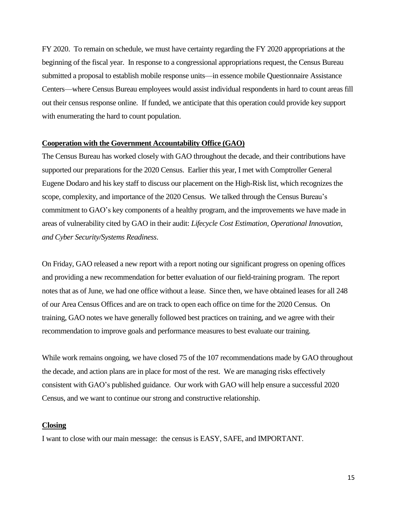FY 2020. To remain on schedule, we must have certainty regarding the FY 2020 appropriations at the beginning of the fiscal year. In response to a congressional appropriations request, the Census Bureau submitted a proposal to establish mobile response units—in essence mobile Questionnaire Assistance Centers—where Census Bureau employees would assist individual respondents in hard to count areas fill out their census response online. If funded, we anticipate that this operation could provide key support with enumerating the hard to count population.

#### **Cooperation with the Government Accountability Office (GAO)**

The Census Bureau has worked closely with GAO throughout the decade, and their contributions have supported our preparations for the 2020 Census. Earlier this year, I met with Comptroller General Eugene Dodaro and his key staff to discuss our placement on the High-Risk list, which recognizes the scope, complexity, and importance of the 2020 Census. We talked through the Census Bureau's commitment to GAO's key components of a healthy program, and the improvements we have made in areas of vulnerability cited by GAO in their audit: *Lifecycle Cost Estimation, Operational Innovation, and Cyber Security/Systems Readiness*.

On Friday, GAO released a new report with a report noting our significant progress on opening offices and providing a new recommendation for better evaluation of our field-training program. The report notes that as of June, we had one office without a lease. Since then, we have obtained leases for all 248 of our Area Census Offices and are on track to open each office on time for the 2020 Census. On training, GAO notes we have generally followed best practices on training, and we agree with their recommendation to improve goals and performance measures to best evaluate our training.

While work remains ongoing, we have closed 75 of the 107 recommendations made by GAO throughout the decade, and action plans are in place for most of the rest. We are managing risks effectively consistent with GAO's published guidance. Our work with GAO will help ensure a successful 2020 Census, and we want to continue our strong and constructive relationship.

#### **Closing**

I want to close with our main message: the census is EASY, SAFE, and IMPORTANT.